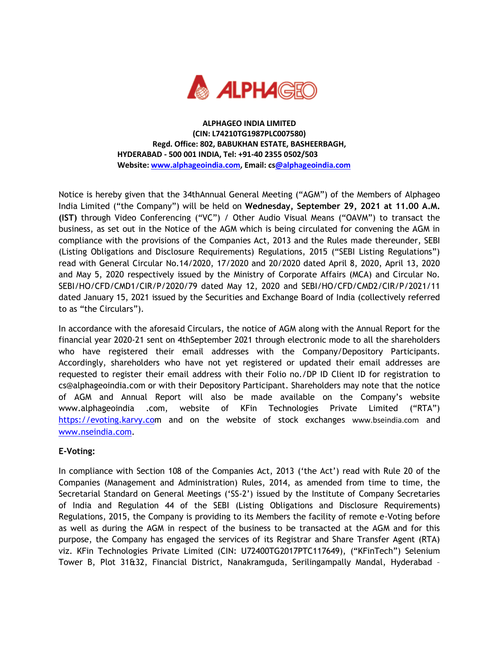

**ALPHAGEO INDIA LIMITED (CIN: L74210TG1987PLC007580) Regd. Office: 802, BABUKHAN ESTATE, BASHEERBAGH, HYDERABAD - 500 001 INDIA, Tel: +91-40 2355 0502/503 Website[: www.alphageoindia.com,](http://www.alphageoindia.com/) Email: c[s@alphageoindia.com](mailto:investorrelations@granulesindia.com)**

Notice is hereby given that the 34thAnnual General Meeting ("AGM") of the Members of Alphageo India Limited ("the Company") will be held on **Wednesday, September 29, 2021 at 11.00 A.M. (IST)** through Video Conferencing ("VC") / Other Audio Visual Means ("OAVM") to transact the business, as set out in the Notice of the AGM which is being circulated for convening the AGM in compliance with the provisions of the Companies Act, 2013 and the Rules made thereunder, SEBI (Listing Obligations and Disclosure Requirements) Regulations, 2015 ("SEBI Listing Regulations") read with General Circular No.14/2020, 17/2020 and 20/2020 dated April 8, 2020, April 13, 2020 and May 5, 2020 respectively issued by the Ministry of Corporate Affairs (MCA) and Circular No. SEBI/HO/CFD/CMD1/CIR/P/2020/79 dated May 12, 2020 and SEBI/HO/CFD/CMD2/CIR/P/2021/11 dated January 15, 2021 issued by the Securities and Exchange Board of India (collectively referred to as "the Circulars").

In accordance with the aforesaid Circulars, the notice of AGM along with the Annual Report for the financial year 2020-21 sent on 4thSeptember 2021 through electronic mode to all the shareholders who have registered their email addresses with the Company/Depository Participants. Accordingly, shareholders who have not yet registered or updated their email addresses are requested to register their email address with their Folio no./DP ID Client ID for registration to cs@alphageoindia.com or with their Depository Participant. Shareholders may note that the notice of AGM and Annual Report will also be made available on the Company's website www.alphageoindia .com, website of KFin Technologies Private Limited ("RTA") [https://evoting.karvy.com](https://evoting.karvy.co/) and on the website of stock exchanges [www.bseindia.com](http://www.bseindia.com/) and [www.nseindia.com.](http://www.nseindia.com/)

## **E-Voting:**

In compliance with Section 108 of the Companies Act, 2013 ('the Act') read with Rule 20 of the Companies (Management and Administration) Rules, 2014, as amended from time to time, the Secretarial Standard on General Meetings ('SS-2') issued by the Institute of Company Secretaries of India and Regulation 44 of the SEBI (Listing Obligations and Disclosure Requirements) Regulations, 2015, the Company is providing to its Members the facility of remote e-Voting before as well as during the AGM in respect of the business to be transacted at the AGM and for this purpose, the Company has engaged the services of its Registrar and Share Transfer Agent (RTA) viz. KFin Technologies Private Limited (CIN: U72400TG2017PTC117649), ("KFinTech") Selenium Tower B, Plot 31&32, Financial District, Nanakramguda, Serilingampally Mandal, Hyderabad –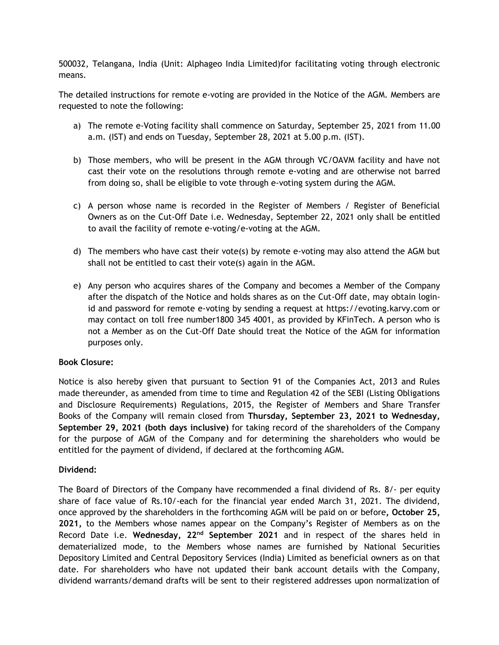500032, Telangana, India (Unit: Alphageo India Limited)for facilitating voting through electronic means.

The detailed instructions for remote e-voting are provided in the Notice of the AGM. Members are requested to note the following:

- a) The remote e-Voting facility shall commence on Saturday, September 25, 2021 from 11.00 a.m. (IST) and ends on Tuesday, September 28, 2021 at 5.00 p.m. (IST).
- b) Those members, who will be present in the AGM through VC/OAVM facility and have not cast their vote on the resolutions through remote e-voting and are otherwise not barred from doing so, shall be eligible to vote through e-voting system during the AGM.
- c) A person whose name is recorded in the Register of Members / Register of Beneficial Owners as on the Cut-Off Date i.e. Wednesday, September 22, 2021 only shall be entitled to avail the facility of remote e-voting/e-voting at the AGM.
- d) The members who have cast their vote(s) by remote e-voting may also attend the AGM but shall not be entitled to cast their vote(s) again in the AGM.
- e) Any person who acquires shares of the Company and becomes a Member of the Company after the dispatch of the Notice and holds shares as on the Cut-Off date, may obtain loginid and password for remote e-voting by sending a request at https://evoting.karvy.com or may contact on toll free number1800 345 4001, as provided by KFinTech. A person who is not a Member as on the Cut-Off Date should treat the Notice of the AGM for information purposes only.

## **Book Closure:**

Notice is also hereby given that pursuant to Section 91 of the Companies Act, 2013 and Rules made thereunder, as amended from time to time and Regulation 42 of the SEBI (Listing Obligations and Disclosure Requirements) Regulations, 2015, the Register of Members and Share Transfer Books of the Company will remain closed from **Thursday, September 23, 2021 to Wednesday, September 29, 2021 (both days inclusive)** for taking record of the shareholders of the Company for the purpose of AGM of the Company and for determining the shareholders who would be entitled for the payment of dividend, if declared at the forthcoming AGM.

## **Dividend:**

The Board of Directors of the Company have recommended a final dividend of Rs. 8/- per equity share of face value of Rs.10/-each for the financial year ended March 31, 2021. The dividend, once approved by the shareholders in the forthcoming AGM will be paid on or before**, October 25, 2021,** to the Members whose names appear on the Company's Register of Members as on the Record Date i.e. **Wednesday, 22nd September 2021** and in respect of the shares held in dematerialized mode, to the Members whose names are furnished by National Securities Depository Limited and Central Depository Services (India) Limited as beneficial owners as on that date. For shareholders who have not updated their bank account details with the Company, dividend warrants/demand drafts will be sent to their registered addresses upon normalization of